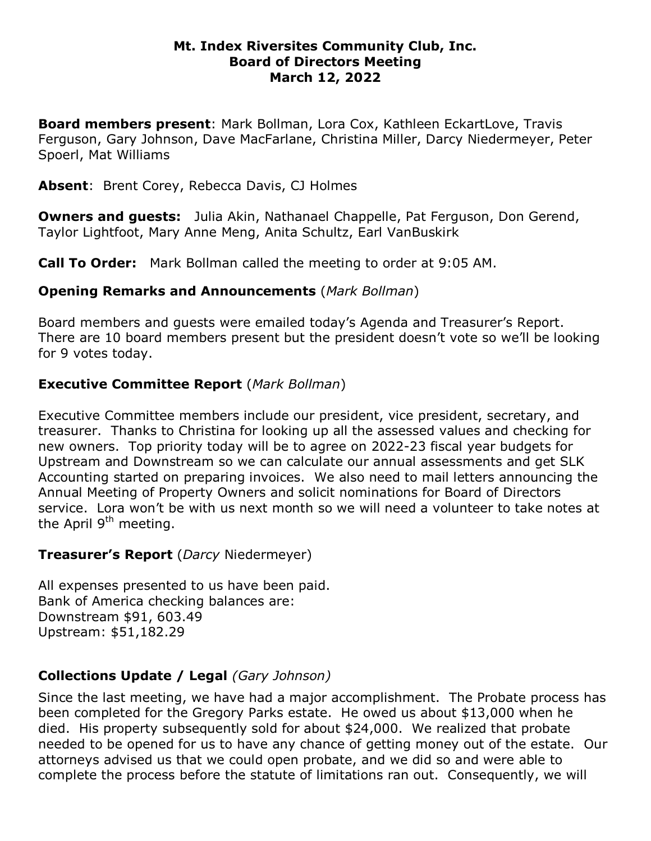#### **Mt. Index Riversites Community Club, Inc. Board of Directors Meeting March 12, 2022**

**Board members present**: Mark Bollman, Lora Cox, Kathleen EckartLove, Travis Ferguson, Gary Johnson, Dave MacFarlane, Christina Miller, Darcy Niedermeyer, Peter Spoerl, Mat Williams

**Absent**: Brent Corey, Rebecca Davis, CJ Holmes

**Owners and guests:** Julia Akin, Nathanael Chappelle, Pat Ferguson, Don Gerend, Taylor Lightfoot, Mary Anne Meng, Anita Schultz, Earl VanBuskirk

**Call To Order:** Mark Bollman called the meeting to order at 9:05 AM.

## **Opening Remarks and Announcements** (*Mark Bollman*)

Board members and guests were emailed today's Agenda and Treasurer's Report. There are 10 board members present but the president doesn't vote so we'll be looking for 9 votes today.

# **Executive Committee Report** (*Mark Bollman*)

Executive Committee members include our president, vice president, secretary, and treasurer. Thanks to Christina for looking up all the assessed values and checking for new owners. Top priority today will be to agree on 2022-23 fiscal year budgets for Upstream and Downstream so we can calculate our annual assessments and get SLK Accounting started on preparing invoices. We also need to mail letters announcing the Annual Meeting of Property Owners and solicit nominations for Board of Directors service. Lora won't be with us next month so we will need a volunteer to take notes at the April  $9<sup>th</sup>$  meeting.

### **Treasurer's Report** (*Darcy* Niedermeyer)

All expenses presented to us have been paid. Bank of America checking balances are: Downstream \$91, 603.49 Upstream: \$51,182.29

# **Collections Update / Legal** *(Gary Johnson)*

Since the last meeting, we have had a major accomplishment. The Probate process has been completed for the Gregory Parks estate. He owed us about \$13,000 when he died. His property subsequently sold for about \$24,000. We realized that probate needed to be opened for us to have any chance of getting money out of the estate. Our attorneys advised us that we could open probate, and we did so and were able to complete the process before the statute of limitations ran out. Consequently, we will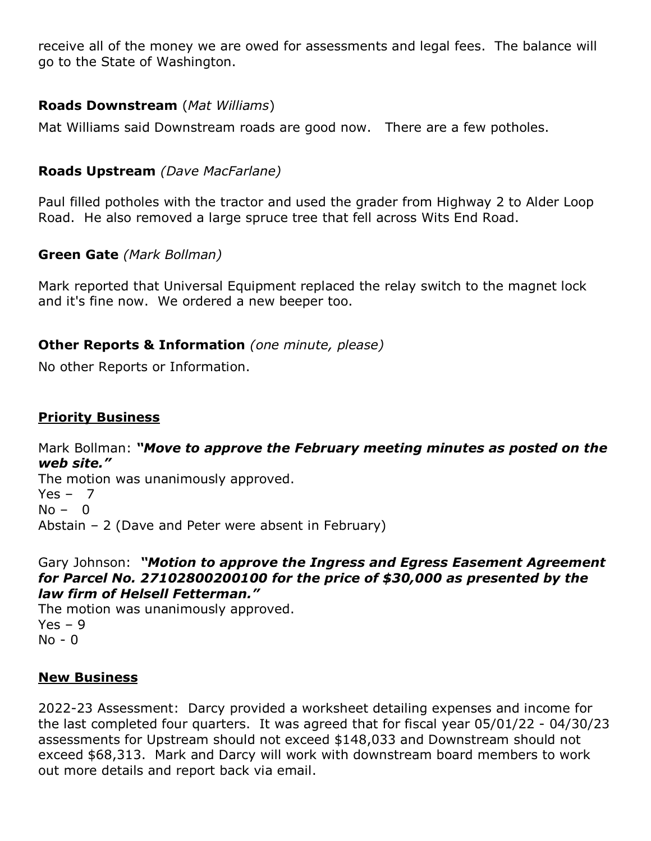receive all of the money we are owed for assessments and legal fees. The balance will go to the State of Washington.

### **Roads Downstream** (*Mat Williams*)

Mat Williams said Downstream roads are good now. There are a few potholes.

## **Roads Upstream** *(Dave MacFarlane)*

Paul filled potholes with the tractor and used the grader from Highway 2 to Alder Loop Road. He also removed a large spruce tree that fell across Wits End Road.

### **Green Gate** *(Mark Bollman)*

Mark reported that Universal Equipment replaced the relay switch to the magnet lock and it's fine now. We ordered a new beeper too.

### **Other Reports & Information** *(one minute, please)*

No other Reports or Information.

### **Priority Business**

Mark Bollman: *"Move to approve the February meeting minutes as posted on the web site."*  The motion was unanimously approved.  $Yes - 7$  $No - 0$ 

Abstain – 2 (Dave and Peter were absent in February)

#### Gary Johnson: *"Motion to approve the Ingress and Egress Easement Agreement for Parcel No. 27102800200100 for the price of \$30,000 as presented by the law firm of Helsell Fetterman."*

The motion was unanimously approved.  $Yes - 9$ No - 0

### **New Business**

2022-23 Assessment: Darcy provided a worksheet detailing expenses and income for the last completed four quarters. It was agreed that for fiscal year 05/01/22 - 04/30/23 assessments for Upstream should not exceed \$148,033 and Downstream should not exceed \$68,313. Mark and Darcy will work with downstream board members to work out more details and report back via email.